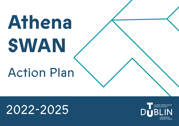# **Athena SWAN**

## Action Plan

# 2022-2025

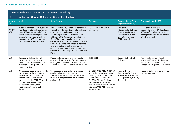| 1. Gender Balance in Leadership and Decision-making |                                                                                                                                                                                                                                                                      |                                                                                                                                                                                                                                                                                                                                                                                                                                                                                            |                                                                                                                                                                                                                                                                      |                                                                                                                                     |                                                                                                                                                               |  |  |
|-----------------------------------------------------|----------------------------------------------------------------------------------------------------------------------------------------------------------------------------------------------------------------------------------------------------------------------|--------------------------------------------------------------------------------------------------------------------------------------------------------------------------------------------------------------------------------------------------------------------------------------------------------------------------------------------------------------------------------------------------------------------------------------------------------------------------------------------|----------------------------------------------------------------------------------------------------------------------------------------------------------------------------------------------------------------------------------------------------------------------|-------------------------------------------------------------------------------------------------------------------------------------|---------------------------------------------------------------------------------------------------------------------------------------------------------------|--|--|
| 1.1                                                 | Achieving Gender Balance at Senior Leadership                                                                                                                                                                                                                        |                                                                                                                                                                                                                                                                                                                                                                                                                                                                                            |                                                                                                                                                                                                                                                                      |                                                                                                                                     |                                                                                                                                                               |  |  |
| <b>Action</b><br>No.                                | Action                                                                                                                                                                                                                                                               | <b>Basis for Action</b>                                                                                                                                                                                                                                                                                                                                                                                                                                                                    | <b>Timescale</b>                                                                                                                                                                                                                                                     | Responsibility (R) and<br>Implementation (I)                                                                                        | Success by end 2025                                                                                                                                           |  |  |
| 1.1.1<br><b>PRIORITY</b><br><b>ACTION</b>           | A commitment to achieve, and/or<br>maintain, gender balance (i.e. at<br>least 40% of each gender) in all<br>senior decision-making roles and<br>positions from Head of School<br>upwards by 2025, and progress<br>reported in the annual EDI report.                 | TU Dublin's Equality Statement contains a<br>commitment 'to ensuring gender balance<br>in key decision-making committees'.<br>The Strategic Intent 2030 commits to<br>addressing the Sustainable Development<br>Goals. There are a number of senior<br>decision-making posts to be filled over the<br>2022-2025 period. The action is intended<br>to give practical effect to addressing<br>SDG 5 Gender Equality, and reinforce this<br>commitment over the period of the Action<br>Plan. | 2022-2025, with annual<br>monitoring                                                                                                                                                                                                                                 | President<br>(Responsible-R), Deputy<br>President & Registrar<br>(Implement-I), Chief<br>Operations Officer (I)<br>EDI Director (I) | TU Dublin will have gender<br>balance (at least 40% female and<br>40% male) at all senior decision-<br>making levels, and will be diverse<br>on other grounds |  |  |
| 1.1.2                                               | Females at SLI and SLII will<br>be sponsored to engage in<br>internal and external leadership<br>development programmes in<br>addition to Aurora.                                                                                                                    | Preparing future leaders is an important<br>part of building capacity for maintenance<br>of the gender balance commitment. This<br>action will support the achievement of 1.1.1                                                                                                                                                                                                                                                                                                            | 2022-2025                                                                                                                                                                                                                                                            | Deans (R), Heads of<br>School (I).                                                                                                  | The established practice of<br>reserving 10 places for females<br>and 10 for males on the internal<br>Leadership Programme is retained.                       |  |  |
| 1.1.3                                               | Conduct an equality review of the<br>procedure for the appointment<br>of Heads of School and other<br>Faculty/School recruitment<br>processes in the 2022-23 round<br>(consequent on Organisation<br>Design) and report, with<br>recommendations, to UET by<br>2024. | The purpose of this action is to support<br>gender balance in future senior<br>appointments and embed this objective<br>in the relevant processes (as in priority<br>action 1.1.1).                                                                                                                                                                                                                                                                                                        | Q4 2023-Q3 2024 :- Q4 2023<br>scope the review and begin<br>planning; Q1 2024 undertake<br>the review and write up;<br>Q2 2024 Discuss findings<br>with key stakeholders and<br>present conclusions to UET for<br>approval; Q3 2024 - prepare for<br>implementation. | Head of Human<br>Resources (R), Director<br>EDI (R), HR Policy & Data<br>Management (I), Equality<br>Analyst (I)                    | Heads of School positions will be<br>gender-balanced                                                                                                          |  |  |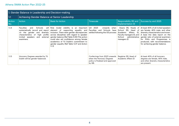|               | 1. Gender Balance in Leadership and Decision-making                                                                                 |                                                                                                                                                                                                                                                                                                                                                                                                                                                             |                                                                                                          |                                                                                                                                  |                                                                                                                                                                                                                                                                                                                 |  |  |  |
|---------------|-------------------------------------------------------------------------------------------------------------------------------------|-------------------------------------------------------------------------------------------------------------------------------------------------------------------------------------------------------------------------------------------------------------------------------------------------------------------------------------------------------------------------------------------------------------------------------------------------------------|----------------------------------------------------------------------------------------------------------|----------------------------------------------------------------------------------------------------------------------------------|-----------------------------------------------------------------------------------------------------------------------------------------------------------------------------------------------------------------------------------------------------------------------------------------------------------------|--|--|--|
| 1.1           | Achieving Gender Balance at Senior Leadership                                                                                       |                                                                                                                                                                                                                                                                                                                                                                                                                                                             |                                                                                                          |                                                                                                                                  |                                                                                                                                                                                                                                                                                                                 |  |  |  |
| Action<br>No. | Action                                                                                                                              | <b>Basis for Action</b>                                                                                                                                                                                                                                                                                                                                                                                                                                     | <b>Timescale</b>                                                                                         | Responsibility (R) and<br>Implementation (I)                                                                                     | Success by end 2025                                                                                                                                                                                                                                                                                             |  |  |  |
| 1.1.4         | <b>Faculties</b><br>Schools<br>and<br>systematically record and report element of<br>external<br>invited speakers and<br>examiners. | will Role model visibility is<br>an important<br>supporting equality and<br>on the gender and diversity inclusion. There were gender discrepancies settled following the OD process<br>characteristics of high profile across disciplines with regard to speaker<br>gender balance (Ref Table 5.55) This action<br>could also aid confidence among female<br>academics of TU Dublin's commitment to<br>gender equality (Ref Table 5.37 and Action<br>1.1.1) | 2023<br>O4<br>onwards<br>when<br>Schools<br>Faculties<br>have<br>and                                     | (R).<br>Head of<br>School<br>Affairs<br>(1)<br>Academic<br>Faculty managers (I), and<br>School<br>administrative<br>managers (I) | Deans (R), Heads of At least 40% of all invited speakers<br>are female, 40% male, and other<br>diversity characteristics are known.<br>A base line data report on the<br>gender ratio of external examiners<br>PhDs and Programmes is<br>for<br>produced, with recommendations<br>for achieving gender balance. |  |  |  |
| 1.1.5         | Honorary Degrees awarded by TU<br>Dublin will be gender-balanced.                                                                   |                                                                                                                                                                                                                                                                                                                                                                                                                                                             | Conferrings from 2023 onwards<br>when the Honorary Degrees<br>policy is finalised and approved<br>by GB. | Registrar (R), Head of<br>Academic Affairs (I)                                                                                   | At least 40% of all honorary<br>degrees are female, 40% male,<br>and other diversity characteristics<br>are present.                                                                                                                                                                                            |  |  |  |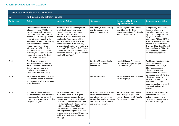| 2. Recruitment and Career Progression |                                                                                                                                                                                                                                                                                                                                                                                                                                                            |                                                                                                                                                                                                                                                                                                                                                                                                                                                                                  |                                                                                                                                                                             |                                                                                                                    |                                                                                                                                                                                                                                                                                                                                            |  |
|---------------------------------------|------------------------------------------------------------------------------------------------------------------------------------------------------------------------------------------------------------------------------------------------------------------------------------------------------------------------------------------------------------------------------------------------------------------------------------------------------------|----------------------------------------------------------------------------------------------------------------------------------------------------------------------------------------------------------------------------------------------------------------------------------------------------------------------------------------------------------------------------------------------------------------------------------------------------------------------------------|-----------------------------------------------------------------------------------------------------------------------------------------------------------------------------|--------------------------------------------------------------------------------------------------------------------|--------------------------------------------------------------------------------------------------------------------------------------------------------------------------------------------------------------------------------------------------------------------------------------------------------------------------------------------|--|
| 2.1                                   | An Equitable Recruitment Process                                                                                                                                                                                                                                                                                                                                                                                                                           |                                                                                                                                                                                                                                                                                                                                                                                                                                                                                  |                                                                                                                                                                             |                                                                                                                    |                                                                                                                                                                                                                                                                                                                                            |  |
| Action No.                            | Action                                                                                                                                                                                                                                                                                                                                                                                                                                                     | <b>Basis for Action</b>                                                                                                                                                                                                                                                                                                                                                                                                                                                          | <b>Timescale</b>                                                                                                                                                            | Responsibility (R) and<br>Implementation (I)                                                                       | Success by end 2025                                                                                                                                                                                                                                                                                                                        |  |
| 2.1.1                                 | Competency frameworks for<br>all academic and PMSS posts<br>will be developed, clarifying<br>expectations as to the broad<br>expertise, skill, and experience<br>required for each post while<br>allowing for specific disciplinary<br>or functional requirements.<br>These frameworks will be<br>informed by an EDI mindset<br>and proofed for equality and<br>inclusion, in addition to going<br>through the normal TU Dublin<br>consultative processes. | There are two main findings from<br>analysis of recruitment data -<br>the relatively poor outcome for<br>AHSSBL female applicants and<br>the low numbers of female STEMM<br>applicants. The purpose of this<br>set of actions is to reinforce the<br>conditions that will counter any<br>unconscious bias in the recruitment<br>process (Ref Tables 5.1 - 5.3). These<br>actions will also partly counter the<br>horizontal gender segregation within<br>the PMSS staff profile. | Q3 2023-Q1 2024: Timing<br>may be dependent on<br>national agreements                                                                                                       | VP for Organisation, Culture<br>and Change, (R), Chief<br>Operations Officer, (R), Head of<br>Human Resources (I)  | Competency frameworks,<br>inclusive of equality<br>considerations, are agreed<br>by Q3 2023; implemented<br>by Q2 2024 and widely<br>promoted. At least 60% of<br>staff are aware of them and<br>at least 40% understand<br>them by 2025 (Equality and<br>Inclusion Survey Q1 2025).<br>Timing may be dependent<br>on national agreements. |  |
| 2.1.2                                 | The Hiring Managers and<br>Interview Panel members will<br>have addressed Unconscious<br>Bias on gender, race and<br>disability in an enhanced<br>Licence to Recruit training.                                                                                                                                                                                                                                                                             |                                                                                                                                                                                                                                                                                                                                                                                                                                                                                  | 2023-2025, as academic<br>posts are approved for<br>recruitment                                                                                                             | <b>Head of Human Resources</b><br>(R), Senior Manager, People<br>Development (I)                                   | Positive action statements<br>are included in all<br>advertisements. By Q3<br>2023 processes are in<br>place to ensure that<br>competitions are widely                                                                                                                                                                                     |  |
| 2.1.3                                 | HR Business Partners to ensure<br>that positive action statements<br>are included in all external post<br>advertisements.                                                                                                                                                                                                                                                                                                                                  |                                                                                                                                                                                                                                                                                                                                                                                                                                                                                  | Q2 2022 onwards                                                                                                                                                             | Head of Human Resources (R),<br>HR Manager (I)                                                                     | advertised and substantive<br>efforts are made to<br>attract a diverse pool of<br>candidates. Insofar as<br>possible applicants should<br>not be all male or all<br>female.                                                                                                                                                                |  |
| 2.1.4                                 | Appointment (internal) and<br>recruitment (external) processes<br>to address staff gender and<br>other diversity profiles, according<br>to agreed targets.                                                                                                                                                                                                                                                                                                 | As noted in Action 1.1.1 and<br>elsewhere, while there is good<br>gender balance at many levels,<br>gender ratios drop at SLIII (Head<br>of School or equivalent) and there<br>is a distinct lack of ethnic diversity<br>at SLII grade and up. This is a<br>typical academic career pattern<br>that requires strong and sustained<br>interventions to change. This action<br>will link to the University People<br>Strategy.                                                     | Q1 2024-Q4 2024: A review<br>of the appointment and<br>recruitment processes to<br>ensure that gender, ethnicity<br>and other forms of diversity<br>are actively supported. | VP for Organisation, Culture<br>and Change (R); Head of<br>Human Resources (I); Faculty<br>Deans, School Heads (I) | University-level and School<br>recruitment processes<br>deliver on gender and<br>diversity targets agreed in<br>the People Strategy.                                                                                                                                                                                                       |  |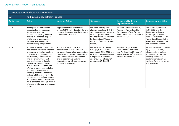| 2. Recruitment and Career Progression |                                                                                                                                                                                                                                                                                                                                                                                                                                                                                                                                                                                             |                                                                                                                                                                                                                                                                                   |                                                                                                                                                                                                                      |                                                                                                                                                    |                                                                                                                                                                                                             |  |  |
|---------------------------------------|---------------------------------------------------------------------------------------------------------------------------------------------------------------------------------------------------------------------------------------------------------------------------------------------------------------------------------------------------------------------------------------------------------------------------------------------------------------------------------------------------------------------------------------------------------------------------------------------|-----------------------------------------------------------------------------------------------------------------------------------------------------------------------------------------------------------------------------------------------------------------------------------|----------------------------------------------------------------------------------------------------------------------------------------------------------------------------------------------------------------------|----------------------------------------------------------------------------------------------------------------------------------------------------|-------------------------------------------------------------------------------------------------------------------------------------------------------------------------------------------------------------|--|--|
| 2.1                                   | An Equitable Recruitment Process                                                                                                                                                                                                                                                                                                                                                                                                                                                                                                                                                            |                                                                                                                                                                                                                                                                                   |                                                                                                                                                                                                                      |                                                                                                                                                    |                                                                                                                                                                                                             |  |  |
| <b>Action No.</b>                     | <b>Action</b>                                                                                                                                                                                                                                                                                                                                                                                                                                                                                                                                                                               | <b>Basis for Action</b>                                                                                                                                                                                                                                                           | Timescale                                                                                                                                                                                                            | Responsibility (R) and<br>Implementation (I)                                                                                                       | Success by end 2025                                                                                                                                                                                         |  |  |
| 2.1.5                                 | Investigate the barriers and<br>opportunities for increasing<br>female enrolment in<br>Apprenticeship programmes -<br>explore the potential appeal<br>of bio- and environmental<br>sustainability avenues for<br>apprenticeship programmes                                                                                                                                                                                                                                                                                                                                                  | Apprenticeship enrolments are<br>almost 100% male, despite efforts to<br>promote the apprenticeship route as<br>a pathway for females.                                                                                                                                            | Q2 2022: scoping and<br>planning the study; Q3 -Q4<br>2022 undertaking the study;<br>Q1 2023, publication of<br>findings in time for a launch<br>for International Women's<br>Day 2023 (March 8, or week<br>thereof) | Head of Apprenticeships (R)<br>Access to Apprenticeship<br>Programme Officer (I), Head of<br>Recruitment and Admissions (I);<br>researcher (I)     | The report is published<br>in Q1 2023 and the<br>findings provide new<br>knowledge on which to<br>base the development of<br>Apprenticeships and other<br>skills-based pathways that<br>can appeal to women |  |  |
| 2.1.6                                 | Prioritise EDI Fund practitioner<br>applications which are targeted<br>at addressing the low numbers<br>of women in Engineering, Built<br>Environment, Apprenticeship<br>and ICT programmes, and<br>also applications which aim<br>to increase the numbers of<br>men in Education, Health and<br>Welfare programmes, and also<br>addressing race/ethnic and<br>disability diversity. These may<br>include additional social media<br>campaigns, promotional videos,<br>and speaker events. This action<br>will support the strategic delivery<br>of enrolment targets and access<br>ratios. | This action will support the<br>achievement of 2.1.5, 3.1.1 and 3.1.2<br>by generating new knowledge about<br>the drivers of gender imbalances in<br>the Apprenticeships programmes,<br>and in both female and male-<br>dominated, non-diverse pathways<br>across the University. | Q2 2002 call for funding<br>issues; Q3 2002 results<br>announced, Q3-4 2022 and<br>Q1 2023 projects undertaken;<br>Completion of projects<br>and showcase of results/<br>outcomes Q2-3 2023                          | EDI Director [R), Head of<br>Recruitment, Admissions<br>and Participation (I), Head of<br>Apprenticeships (I), Individual<br>project proposers (I) | Project showcase complete<br>by Q3 2023. A body<br>of successful practices<br>supporting gender and<br>diversity balances in<br>student recruitment are<br>available for sharing across<br>the University.  |  |  |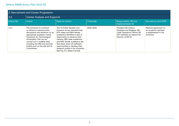| 2. Recruitment and Career Progression |                                                                                                                                                                                                                                                                                                              |                                                                                                                                                                                                                                                                                                                                                                         |           |                                                                                                                                              |                                                                                     |  |  |
|---------------------------------------|--------------------------------------------------------------------------------------------------------------------------------------------------------------------------------------------------------------------------------------------------------------------------------------------------------------|-------------------------------------------------------------------------------------------------------------------------------------------------------------------------------------------------------------------------------------------------------------------------------------------------------------------------------------------------------------------------|-----------|----------------------------------------------------------------------------------------------------------------------------------------------|-------------------------------------------------------------------------------------|--|--|
| 2.2                                   | <b>Career Analysis and Supports</b>                                                                                                                                                                                                                                                                          |                                                                                                                                                                                                                                                                                                                                                                         |           |                                                                                                                                              |                                                                                     |  |  |
| <b>Action No.</b>                     | Action                                                                                                                                                                                                                                                                                                       | <b>Basis for Action</b>                                                                                                                                                                                                                                                                                                                                                 | Timescale | Responsibility (R) and<br>Implementation (I)                                                                                                 | Success by end 2025                                                                 |  |  |
| 2.2.1                                 | The University to continue<br>to influence national policy<br>discussions and decisions on an<br>appropriate academic career<br>framework for Technological<br>Universities. This can be<br>carried out in multiple sites,<br>including the HEA and sectoral<br>bodies such as the IUA and its<br>Committees | The TU Dublin Equality and<br>Inclusion survey indicated that<br>67% males and 69% female<br>academics identified a lack of<br>opportunity to advance their<br>careers; 59% male academics<br>and 64% female academics felt<br>that there were not sufficient<br>opportunities to develop their<br>research profile in the University<br>(Ref Fig. 5.1, Tables 5.5-5.8) | 2022-2025 | President [R), Deputy<br>President and Registrar (R),<br>Chief Operations Officer (R)<br>UET members as relevant (I),<br>Director of EDI (I) | National agreement on<br>an academic pathway<br>is implemented in the<br>University |  |  |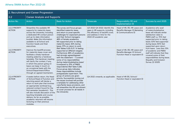| 2. Recruitment and Career Progression |                                                                                                                                                                                                                                                                                                                                                                                                                                      |                                                                                                                                                                                                                                                                                                                                                                                                                                                                                                                                                                                                                                                                                                                                                                                                                                                                                                                                                                                |                                                                                                                                                              |                                                                                                  |                                                                                                                                                                                                                                               |  |  |
|---------------------------------------|--------------------------------------------------------------------------------------------------------------------------------------------------------------------------------------------------------------------------------------------------------------------------------------------------------------------------------------------------------------------------------------------------------------------------------------|--------------------------------------------------------------------------------------------------------------------------------------------------------------------------------------------------------------------------------------------------------------------------------------------------------------------------------------------------------------------------------------------------------------------------------------------------------------------------------------------------------------------------------------------------------------------------------------------------------------------------------------------------------------------------------------------------------------------------------------------------------------------------------------------------------------------------------------------------------------------------------------------------------------------------------------------------------------------------------|--------------------------------------------------------------------------------------------------------------------------------------------------------------|--------------------------------------------------------------------------------------------------|-----------------------------------------------------------------------------------------------------------------------------------------------------------------------------------------------------------------------------------------------|--|--|
| 2.2                                   | <b>Career Analysis and Supports</b>                                                                                                                                                                                                                                                                                                                                                                                                  |                                                                                                                                                                                                                                                                                                                                                                                                                                                                                                                                                                                                                                                                                                                                                                                                                                                                                                                                                                                |                                                                                                                                                              |                                                                                                  |                                                                                                                                                                                                                                               |  |  |
| <b>Action No.</b>                     | Action                                                                                                                                                                                                                                                                                                                                                                                                                               | <b>Basis for Action</b>                                                                                                                                                                                                                                                                                                                                                                                                                                                                                                                                                                                                                                                                                                                                                                                                                                                                                                                                                        | <b>Timescale</b>                                                                                                                                             | Responsibility (R) and<br>Implementation (I)                                                     | Success by end 2025                                                                                                                                                                                                                           |  |  |
| 2.2.2 PRIORITY<br><b>ACTION</b>       | Streamline the available HR<br>supports for maternity leave<br>across the University, including<br>a dedicated HR contact person<br>and up-to-date information<br>booklet. Make this information<br>available to all School and<br>Function heads and their<br>executives.                                                                                                                                                           | The survey and focus groups<br>identified maternity leave<br>and return to pose specific<br>challenges for expectant persons<br>and their School managers.<br>48% of female academics<br>felt supported prior to taking<br>maternity leave; 42% during<br>leave; 37% on return to work<br>(Ref Tables 5.25-5.27, % feeling<br>supported at different stages).<br>Furthermore 49% of academics<br>had strongly agreed/agreed<br>with the statement - 'I covered<br>some of my responsibilities<br>during maternity/adoptive leave'<br>(compared to 15% of PMSS<br>respondents) (Ref Table 5.26).<br>Focus group data indicates<br>these responsibilities include<br>postgraduate supervision. This<br>group of actions are given<br>priority. Successfully ironing out<br>the issues involved will provide<br>a template for addressing other<br>care/family leave provisions, and<br>will streamline the HR recruitment<br>of cover process for all needs in<br>the University | Q3 2022-Q4 2022: Identify the<br>gaps in HR supports, including<br>the efficiency of backfill cover,<br>and address in time for the<br>2022-23 academic year | Head of HR, (R), HR Leave and<br>Benefits Manager (I) Marketing<br>& Communications (I)          | Academics who avail<br>of maternity/adoptive<br>leave will indicate similar<br>satisfaction rates to<br>PMSS staff i.e. 70% feel<br>supported prior to taking<br>leave; 53% feel supported<br>during leave; 60% feel<br>supported upon return |  |  |
| 2.2.3 PRIORITY<br><b>ACTION</b>       | Improve the backfill process<br>for maternity leave cover and<br>facilitate a timely handover<br>meeting aided by a handover<br>template. This handover meeting<br>will clarify the context, if any,<br>in which the person going on<br>leave can keep in touch on<br>an occasional basis with the<br>School/Department/Office<br>through an agreed mechanism.                                                                       |                                                                                                                                                                                                                                                                                                                                                                                                                                                                                                                                                                                                                                                                                                                                                                                                                                                                                                                                                                                |                                                                                                                                                              | Head of HR, (R), HR Leave and<br>Benefits Manager (I) School/<br>Function Head or equivalent (I) | from leave. Less than 15%<br>of academic and PMSS<br>staff will indicate that they<br>covered some of their<br>responsibilities during leave.<br>(Equality and Inclusion<br><b>Survey Q1 2025)</b>                                            |  |  |
| 2.2.4 PRIORITY<br><b>ACTION</b>       | 4 weeks before return, the Head<br>of School/Head of Function and<br>returning parent will devise a<br>return to work plan that involves<br>an appropriate workload (e.g.<br>reduced contact hours) for the<br>first semester (academic). This<br>will also include discussion of the<br>teaching timetable and course<br>delivery. As far as possible,<br>academic returners will resume<br>lecturing on their previous<br>modules. |                                                                                                                                                                                                                                                                                                                                                                                                                                                                                                                                                                                                                                                                                                                                                                                                                                                                                                                                                                                | Q4 2022 onwards, as applicable                                                                                                                               | Head of HR (R), School/<br>Function Head or equivalent (I)                                       |                                                                                                                                                                                                                                               |  |  |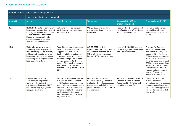| 2. Recruitment and Career Progression |                                                                                                                                                                                                                                                |                                                                                                                                                                                                                                                                                                                                           |                                                                                                                                                                                 |                                                                                                                      |                                                                                                                                                                                                                                                                                                                                                                             |  |  |
|---------------------------------------|------------------------------------------------------------------------------------------------------------------------------------------------------------------------------------------------------------------------------------------------|-------------------------------------------------------------------------------------------------------------------------------------------------------------------------------------------------------------------------------------------------------------------------------------------------------------------------------------------|---------------------------------------------------------------------------------------------------------------------------------------------------------------------------------|----------------------------------------------------------------------------------------------------------------------|-----------------------------------------------------------------------------------------------------------------------------------------------------------------------------------------------------------------------------------------------------------------------------------------------------------------------------------------------------------------------------|--|--|
| 2.2                                   | <b>Career Analysis and Supports</b>                                                                                                                                                                                                            |                                                                                                                                                                                                                                                                                                                                           |                                                                                                                                                                                 |                                                                                                                      |                                                                                                                                                                                                                                                                                                                                                                             |  |  |
| Action No.                            | Action                                                                                                                                                                                                                                         | <b>Basis for Action</b>                                                                                                                                                                                                                                                                                                                   | <b>Timescale</b>                                                                                                                                                                | Responsibility (R) and<br>Implementation (I)                                                                         | Success by end 2025                                                                                                                                                                                                                                                                                                                                                         |  |  |
| 2.2.5                                 | Highlight the suite of care/family<br>leave options available to all staff<br>in a regular bulletin/web update,<br>and at least once per semester.<br>Design a communication to<br>encourage male employees to<br>avail of leave entitlements. | Male employees do not avail of<br>family leave to any great extent<br>(Ref Table 5.29)                                                                                                                                                                                                                                                    | Q2-Q3 2023 and regularly<br>thereafter (at least once per<br>semester)                                                                                                          | Head of HR, (R), HR Leave and<br>Benefits Manager (I), Marketing<br>and Communications (I)                           | Take up of paternity and<br>parental leave by men<br>increases by 30% (2023-<br>2025)                                                                                                                                                                                                                                                                                       |  |  |
| 2.2.6                                 | Undertake a review of care<br>and family leave as part of a<br>suite of leave policies, including<br>addressing Domestic Violence<br>leave options for the purpose of<br>facilitating court appointments,<br>legal appointments, etc.          | The evidence shows a reduced<br>take-up care leave, which<br>suggests that a review is<br>timely. In addition, an increase<br>in reported rates of domestic<br>violence during COVID-19 has<br>brought the issue to the fore,<br>and all HEIs are asked to make<br>arrangements for Domestic<br>Violence Leave (Ref Tables 5.29,<br>5.30) | Q2-Q3 2022 - in Q2,<br>exploration of the policy options<br>on Domestic Violence leave:<br>Q3, draft policy, consult and<br>bring to UET for consideration                      | Head of HR (R), HR Policy and<br>Data management (I) Marketing<br>and Communications (I)                             | <b>Provision for Domestic</b><br>Violence Leave is clear,<br>well communicated, and<br>supported by HR. At least<br>55% of survey respondents<br>are aware of Domestic<br>Violence leave and at least<br>60% of survey respondents<br>are aware of each type of<br>family leave and flexible<br>working options relevant<br>to them (Equality and<br>Inclusion Survey 2025) |  |  |
| 2.2.7                                 | Prepare a report for UET<br>consideration on precarious<br>working in the University -<br>covering academic and PMSS<br>staff. Analyse by age, gender,<br>race, and disability.                                                                | Precarity is an endemic feature<br>of higher education, evident<br>in TU Dublin as elsewhere. This<br>action will give a comprehensive<br>overview of the situation and<br>consider what further actions<br>can be taken to decrease<br>precarious working. (Ref Table<br>4.4, Tables 4.11-13)                                            | Q2-Q4 2024: Q2 2024 -<br>Scope and plan; Q3 conduct<br>evaluation; Q4 - discuss report<br>with relevant stakeholders and<br>present finalised draft to UET for<br>consideration | Registrar (R), Chief Operations<br>Officer (R), Head of Human<br>Resources (I), HR Policy and<br>Data Management (I) | There is an action plan<br>in place to reduce<br>precarious working, support<br>progression while working<br>part time, and support part<br>time workers return to full<br>time work.                                                                                                                                                                                       |  |  |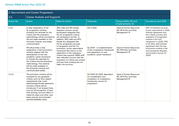| 2. Recruitment and Career Progression |                                                                                                                                                                                                                                                                                                                                                                                                    |                                                                                                                                                                                                                                                                                                                                                                                                                                                                                                                                                      |                                                                                                                         |                                                                             |                                                                                                                                                                                                                                |  |  |
|---------------------------------------|----------------------------------------------------------------------------------------------------------------------------------------------------------------------------------------------------------------------------------------------------------------------------------------------------------------------------------------------------------------------------------------------------|------------------------------------------------------------------------------------------------------------------------------------------------------------------------------------------------------------------------------------------------------------------------------------------------------------------------------------------------------------------------------------------------------------------------------------------------------------------------------------------------------------------------------------------------------|-------------------------------------------------------------------------------------------------------------------------|-----------------------------------------------------------------------------|--------------------------------------------------------------------------------------------------------------------------------------------------------------------------------------------------------------------------------|--|--|
| 2.2                                   | <b>Career Analysis and Supports</b>                                                                                                                                                                                                                                                                                                                                                                |                                                                                                                                                                                                                                                                                                                                                                                                                                                                                                                                                      |                                                                                                                         |                                                                             |                                                                                                                                                                                                                                |  |  |
| Action No.                            | Action                                                                                                                                                                                                                                                                                                                                                                                             | <b>Basis for Action</b>                                                                                                                                                                                                                                                                                                                                                                                                                                                                                                                              | <b>Timescale</b>                                                                                                        | Responsibility (R) and<br>Implementation (I)                                | Success by end 2025                                                                                                                                                                                                            |  |  |
| 2.2.8                                 | A clear explanation of the<br>AL progression scheme,<br>including the rationale for the<br>criteria and the evaluation<br>methodology, will be provided by<br>HR and made available on the<br>University intranet, and widely<br>communicated.                                                                                                                                                     | 38% male and 41% female<br>Assistant Lecturer survey<br>participants disagreed that<br>the AL progression criteria<br>are transparent and fair. In<br>addition, 44% male and 45%<br>female ALs disagreed that<br>the AL progression process<br>is transparent and fair. For<br>promotion, survey respondents<br>mentioned that clarity on the<br>application of the evaluation<br>criteria was required. PMSS staff<br>also indicated concern that the<br>evaluation of criteria was unclear<br>and part-time working was not<br>taken into account. | Q2-3 2022                                                                                                               | <b>Head of Human Resources</b><br>(R), HR Policy and Data<br>Management (I) | 55% of Assistant Lecturer<br>survey respondents in 2024<br>indicate agreement that<br>the criteria, process and<br>evaluation in progression<br>scheme is fair and<br>transparent. In 2025, 55%<br>of all other staff indicate |  |  |
| 2.2.9                                 | HR will provide a clear<br>explanation of the promotions<br>scheme, aligned with the<br>development of the new<br>academic career framework.<br>to include the rationale for<br>the criteria and the evaluation<br>methodology. This material<br>will be made available on<br>the University intranet and<br>communicated widely.                                                                  |                                                                                                                                                                                                                                                                                                                                                                                                                                                                                                                                                      | Q2 2024 - on implementation<br>of the competency frameworks<br>and agreement on new<br>academic career framework        | <b>Head of Human Resources</b><br>(R), HR Policy and Data<br>Management (I) | agreement that the new<br>promotions scheme is fair<br>and transparent (Equality<br>and Inclusion Survey Q1<br>2025)                                                                                                           |  |  |
| 2.2.10                                | The promotion scheme will be<br>reviewed for any gendered<br>criteria, such as time-related<br>requirements that could<br>disadvantage female applicants.<br>Inclusive criteria will be<br>introduced, if not already there,<br>such as full recognition of part-<br>time working, account taken of<br>maternity leave and other care<br>leave periods, and extended<br>sickness/disability leave. |                                                                                                                                                                                                                                                                                                                                                                                                                                                                                                                                                      | Q3 2023-Q1 2024, dependent<br>on consideration and<br>completion of competency<br>frameworks; sooner for<br>progression | <b>Head of Human Resources</b><br>(R), HR Policy and Data<br>Management (I) |                                                                                                                                                                                                                                |  |  |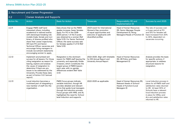| 2. Recruitment and Career Progression |                                                                                                                                                                                                                                                                                                                                                                                                 |                                                                                                                                                                                                                                                                                         |                                                                                                                                            |                                                                                                                           |                                                                                                                                                                                                                                                      |  |  |
|---------------------------------------|-------------------------------------------------------------------------------------------------------------------------------------------------------------------------------------------------------------------------------------------------------------------------------------------------------------------------------------------------------------------------------------------------|-----------------------------------------------------------------------------------------------------------------------------------------------------------------------------------------------------------------------------------------------------------------------------------------|--------------------------------------------------------------------------------------------------------------------------------------------|---------------------------------------------------------------------------------------------------------------------------|------------------------------------------------------------------------------------------------------------------------------------------------------------------------------------------------------------------------------------------------------|--|--|
| 2.2                                   | <b>Career Analysis and Supports</b>                                                                                                                                                                                                                                                                                                                                                             |                                                                                                                                                                                                                                                                                         |                                                                                                                                            |                                                                                                                           |                                                                                                                                                                                                                                                      |  |  |
| Action No.                            | Action                                                                                                                                                                                                                                                                                                                                                                                          | <b>Basis for Action</b>                                                                                                                                                                                                                                                                 | Timescale                                                                                                                                  | Responsibility (R) and<br>Implementation (I)                                                                              | Success by end 2025                                                                                                                                                                                                                                  |  |  |
| 2.2.11                                | Engage PMSS staff (and<br>interested others, including<br>academics) in tailored events<br>with stereotype-breaking role<br>models (male, female and non-<br>binary, of diverse profiles) who<br>share their career trajectories;<br>HR track PO and Senior<br>Technical Officer vacancies and<br>encourage hiring managers to<br>include recruitment statements<br>encouraging women to apply. | Data shows that as the PMSS<br>grades increase, fewer females<br>apply. For PO in the 2018-<br>2020 period, 1 of the 5 posts<br>was obtained by a woman (Ref<br>Table 5.13). For Senior Technical<br>Officer, the same success rate<br>for females applies (1 of 5) (Ref<br>Table 5.15) | 2023-event for International<br>Women's Day; promotion<br>of equal opportunities and<br>welcome of applicants with<br>diversified profiles | <b>Head of Human Resources</b><br>(R), Senior Manager People<br>Development (I), Hiring<br>Managers/Heads of Function (I) | The rate of success over<br>a 4-year period at PO<br>and STO for females will<br>have increased from 20%<br>to 40%, dependent on<br>vacancies occurring.                                                                                             |  |  |
| 2.2.12                                | Implement anonymised exit<br>surveys for all leavers. For those<br>citing resignation as reason for<br>leaving, explore and analyse<br>the cause of resignation to<br>determine if there are any<br>issues to be addressed by the<br>University. Provide these data<br>as part of Action 3.2.1 (annual<br>report).                                                                              | Resignation is the dominant<br>reason for PMSS staff leaving the<br>university, and especially Grade<br>3 leavers, which constitutes the<br>largest group of PMSS leavers<br>each year, with no gender<br>differences evident (Ref Table<br>4.13)                                       | 2022-2025. Align with timetable<br>for EDI Annual Report and<br><b>University Annual Report</b>                                            | <b>Head of Human Resources</b><br>(R), HR Policy and Data<br>Management (I)                                               | Analysis provides the basis<br>for specific actions, if<br>appropriate, to address<br>structural reasons for<br>resignation.                                                                                                                         |  |  |
| 2.2.13                                | Local induction becomes a<br>routinised part of integrating a<br>new member of staff into the<br>organisation.                                                                                                                                                                                                                                                                                  | PMSS focus groups indicate<br>variable induction, though HR<br>provides detailed and relevant<br>forms that guide local managers<br>through the induction process.<br>Focus groups with HPAL and AL<br>highlighted the need for School<br>level induction and supports.                 | 2022-2025 as applicable                                                                                                                    | Head of Human Resources (R).<br>Relevant Heads of School/<br>Heads of Function/Local<br>Managers (I)                      | Local induction process in<br>place for all PMSS staff and<br>satisfaction rates returned<br>to HR. At least 30% of<br>Schools have a relevant<br>local induction process<br>in place for HPALs and<br>ALs and satisfaction rates<br>returned to HR. |  |  |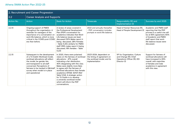| 2. Recruitment and Career Progression |                                                                                                                                                                                                                                                                                            |                                                                                                                                                                                                                                                                                                                                                                                                                                                              |                                                                                                        |                                                                                                      |                                                                                                                                                                                                            |  |  |
|---------------------------------------|--------------------------------------------------------------------------------------------------------------------------------------------------------------------------------------------------------------------------------------------------------------------------------------------|--------------------------------------------------------------------------------------------------------------------------------------------------------------------------------------------------------------------------------------------------------------------------------------------------------------------------------------------------------------------------------------------------------------------------------------------------------------|--------------------------------------------------------------------------------------------------------|------------------------------------------------------------------------------------------------------|------------------------------------------------------------------------------------------------------------------------------------------------------------------------------------------------------------|--|--|
| 2.2                                   | <b>Career Analysis and Supports</b>                                                                                                                                                                                                                                                        |                                                                                                                                                                                                                                                                                                                                                                                                                                                              |                                                                                                        |                                                                                                      |                                                                                                                                                                                                            |  |  |
| <b>Action No.</b>                     | Action                                                                                                                                                                                                                                                                                     | <b>Basis for Action</b>                                                                                                                                                                                                                                                                                                                                                                                                                                      | <b>Timescale</b>                                                                                       | Responsibility (R) and<br>Implementation (I)                                                         | Success by end 2025                                                                                                                                                                                        |  |  |
| 2.2.14                                | Ongoing support of PMDS<br>throughout the organisation. A<br>reminder for managers of the<br>importance of a conversation on<br>work-life balance, which is more<br>critical in the COVID-post-COVID<br>era than before.                                                                   | A review of areas covered in<br>the Professional Development<br>Plan (PDP) conversation for<br>academics indicates that Work-<br>Life balance issues are least<br>discussed (32% Males report it<br>being discussed, 28% Females<br>- Table 5.20); similarly for PMSS<br>staff (39% males report it being<br>discussed, 18% females - Table<br>5.23)                                                                                                         | 2022 and annually thereafter<br>- PDP conversation includes<br>prompts re work/life balance.           | Head of Human Resources (R).<br>Head of People Development (I)                                       | Academic and PMSS staff<br>reporting that the PDP<br>process is a useful one will<br>be at 65% agreement; 60%<br>of Academic and PMSS<br>staff report that work-<br>life balance issues were<br>discussed. |  |  |
| 2.2.15                                | Subsequent to the development<br>of a TU Dublin Workload model.<br>workload allocations will reflect<br>the model, be gender-fair,<br>and transparent to all staff<br>concerned. Perceptions of<br>fairness to be tracked in E&I/staff<br>survey when model is in place<br>and operational | In 2020, there were polarised<br>views on the fairness of workload<br>allocations - 47% overall<br>indicating a fair distribution,<br>40% disagreeing with this view.<br>Males were slightly more likely<br>to agree with the fairness of<br>workload allocations than female<br>academics (51%M: 42%F) (Ref<br>Table 5.54). A strategic action<br>for TU Dublin is to develop<br>a university workload model<br>which will inform the PDP<br>conversations. | 2023-2024, dependent on<br>the timing of agreement on<br>the workload model, and its<br>implementation | VP for Organisation, Culture<br>and Change (R); Chief<br>Operations Officer (R), EDI<br>Director (I) | Support for fairness of<br>workload allocations will<br>have increased to 65%<br>overall, with majorities<br>of females and male<br>academics in agreement<br>with this view.                              |  |  |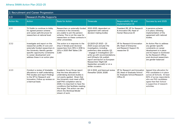| 2. Recruitment and Career Progression |                                                                                                                                                                                                                                              |                                                                                                                                                                                                                                                                                                                                                                    |                                                                                                                                                                                                                                                                                                                              |                                                                                                               |                                                                                                                                                                                                                        |  |  |
|---------------------------------------|----------------------------------------------------------------------------------------------------------------------------------------------------------------------------------------------------------------------------------------------|--------------------------------------------------------------------------------------------------------------------------------------------------------------------------------------------------------------------------------------------------------------------------------------------------------------------------------------------------------------------|------------------------------------------------------------------------------------------------------------------------------------------------------------------------------------------------------------------------------------------------------------------------------------------------------------------------------|---------------------------------------------------------------------------------------------------------------|------------------------------------------------------------------------------------------------------------------------------------------------------------------------------------------------------------------------|--|--|
| $\vert 2.3 \vert$                     | <b>Research Profile Supports</b>                                                                                                                                                                                                             |                                                                                                                                                                                                                                                                                                                                                                    |                                                                                                                                                                                                                                                                                                                              |                                                                                                               |                                                                                                                                                                                                                        |  |  |
| Action No.                            | <b>Action</b>                                                                                                                                                                                                                                | <b>Basis for Action</b>                                                                                                                                                                                                                                                                                                                                            | <b>Timescale</b>                                                                                                                                                                                                                                                                                                             | Responsibility (R) and<br>Implementation (I)                                                                  | Success by end 2025                                                                                                                                                                                                    |  |  |
| 2.3.1                                 | TU Dublin to continue to lobby<br>for agreed pension scheme<br>and career path/structure for<br>researchers at national level.                                                                                                               | Researchers on externally-funded<br>contracts in the University<br>are unable to join the pension<br>scheme. This is not the case for<br>researchers on these contracts in<br>other universities.                                                                                                                                                                  | 2022-2025, dependent on<br>agreement with national<br>decision-making bodies                                                                                                                                                                                                                                                 | President (R), VP for Research<br>& Innovation (R), Head of<br>Human Resources (I)                            | A pensions scheme<br>is in place, following<br>implementation of the<br>agreement with national<br>bodies.                                                                                                             |  |  |
| 2.3.2                                 | Investigate and report on the<br>researcher profile of core and<br>externally-funded researchers in<br>the University. Identify gender-<br>specific opportunity constraints<br>to career development and<br>address these in an action plan. | This action is in response to the<br>drop in female post-doctoral<br>researchers from 35% in 2018 to<br>20% in 2020 (Ref Tables 2.18-<br>2.20)                                                                                                                                                                                                                     | Q1 2023-Q3 2023 - Q1<br>2023 scope and plan the<br>investigation, including<br>preliminary data analysis; Q2<br>- engage in investigation; Q3 -<br>write-up with recommendations;<br>end Q3/early Q4, publish<br>report and launch on European<br>Researchers' Night (24<br>September annually) or on a<br>similar occasion. | VP for Research & Innovation<br>[R), Head of Enterprise<br>and Research Support (I),<br>researcher (I)        | An Action Plan to address<br>any gender-specific<br>constraints on career<br>development is in place<br>and its impact is monitored<br>by the Research Office;<br>post-doctoral researchers<br>are gender-balanced     |  |  |
| 2.3.3                                 | Conduct a review of timetable<br>allocations to staff undertaking<br>PhD studies and report findings<br>to the VP for Research and<br>Innovation. Follow up reviews on<br>a biannual basis.                                                  | Academic focus Group report<br>that the time allocation for<br>undertaking doctoral studies is<br>not evenly applied. Given that<br>the University must meet a 65%<br>staff PhD completion rate by<br>2029, it is important to have the<br>conditions that facilitate meeting<br>this target. This action can also<br>inform the Workload Model<br>stream of work. | Q2-4 2022, and biannual review<br>thereafter (2024, 2026)                                                                                                                                                                                                                                                                    | VP for Research and Innovation<br>(R). Head of Graduate School<br>(I); Graduate School/Research<br>Office (I) | Agreed time allocation for<br>PhD candidates is in place<br>across all Schools. At least<br>60% of survey respondents<br>who are PhD candidates<br>agree that their School<br>is supportive of research<br>activities. |  |  |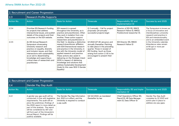| 2. Recruitment and Career Progression |                                                                                                                                                                                                                                                                                                        |                                                                                                                                                                                                                                                                                                                                                                                                                                                      |                                                                                                                                                                                                                                          |                                                                                          |                                                                                                                                                                              |  |  |  |  |
|---------------------------------------|--------------------------------------------------------------------------------------------------------------------------------------------------------------------------------------------------------------------------------------------------------------------------------------------------------|------------------------------------------------------------------------------------------------------------------------------------------------------------------------------------------------------------------------------------------------------------------------------------------------------------------------------------------------------------------------------------------------------------------------------------------------------|------------------------------------------------------------------------------------------------------------------------------------------------------------------------------------------------------------------------------------------|------------------------------------------------------------------------------------------|------------------------------------------------------------------------------------------------------------------------------------------------------------------------------|--|--|--|--|
| 2.3                                   |                                                                                                                                                                                                                                                                                                        | <b>Research Profile Supports</b>                                                                                                                                                                                                                                                                                                                                                                                                                     |                                                                                                                                                                                                                                          |                                                                                          |                                                                                                                                                                              |  |  |  |  |
| Action No.                            | Action                                                                                                                                                                                                                                                                                                 | <b>Basis for Action</b>                                                                                                                                                                                                                                                                                                                                                                                                                              | Timescale                                                                                                                                                                                                                                | Responsibility (R) and<br>Implementation (I)                                             | Success by end 2025                                                                                                                                                          |  |  |  |  |
| 2.3.4                                 | Prioritise EDI Research Funding<br>for projects that address<br>intersectional issues, and publish<br>details of the projects and their<br>outcomes on the EDI website.                                                                                                                                | EDI research is spread<br>throughout the University, as is<br>practice and practitioners. Often<br>they work in isolation from one<br>another. These action support<br>researchers and practitioners in                                                                                                                                                                                                                                              | Q 2 annually - Call for project<br>proposals; Q4 annually -<br>successful projects begin                                                                                                                                                 | Director of EDI (R), RINCE<br>Research Fellow (I), RINCE<br>Postdoctoral researcher (I). | The Symposium is known as<br>a focus of innovative and<br>interdisciplinary university<br>research and practice in<br>EDI and intersectionality,<br>and is an embedded event |  |  |  |  |
| 2.3.5                                 | An EDI Annual Research<br>Symposium showcasing<br>University research and<br>practice on equality, diversity<br>and inclusion issues, and their<br>intersections with sustainability,<br>as an aid to disseminating<br>knowledge and supporting a<br>critical mass of researchers and<br>practitioners | this field to develop a distinctive<br>research/practitioner affiliation<br>with EDI/intersectional research<br>and practice in the University, in<br>line with the University model of<br>applied research and practice.<br>These actions also assist in<br>delivering on the Strategic Intent<br>2030 in respect of delivering<br>knowledge and solutions that<br>address Sustainable Development<br>Goals (in this case SDG 5 Gender<br>Equality) | Q1 2022 [27-28 January], and<br>annually thereafter. Planning<br>to take place in the preceding<br>quarter. Those in receipt of<br>EDI funding (such as those<br>arising from action 2.1.6) to be<br>encouraged to present their<br>work | EDI Director (R), RINCE<br>Research Fellow (I)                                           | in the University calendar.<br>Attendance rates remain<br>at 80 ppl or more per<br>symposium                                                                                 |  |  |  |  |

| 2. Recruitment and Career Progression |                                                                                                                                                                                                                                                                                                                                                           |                                                                                                                        |                                              |                                                                                             |                                                                                                     |  |  |
|---------------------------------------|-----------------------------------------------------------------------------------------------------------------------------------------------------------------------------------------------------------------------------------------------------------------------------------------------------------------------------------------------------------|------------------------------------------------------------------------------------------------------------------------|----------------------------------------------|---------------------------------------------------------------------------------------------|-----------------------------------------------------------------------------------------------------|--|--|
| $\overline{2.4}$                      | <b>Gender Pay Gap Audit</b>                                                                                                                                                                                                                                                                                                                               |                                                                                                                        |                                              |                                                                                             |                                                                                                     |  |  |
| <b>Action No.</b>                     | Action                                                                                                                                                                                                                                                                                                                                                    | <b>Basis for Action</b>                                                                                                | <b>Timescale</b>                             | Responsibility (R) and Imple-<br>mentation (I)                                              | Success by end 2025                                                                                 |  |  |
| 2.4.1                                 | A gender pay gap audit will be<br>conducted, in line with legislative<br>requirements. The audit will ex-<br>plore the preliminary findings of<br>the 2020 report in more detail as<br>part of this analysis. The report<br>will be considered by UET and<br>will form part of the University's<br>Annual Report. Findings will be<br>publicly available. | The Gender Pay Gap Information<br>Act, 2021 is in effect, and the<br>University is required to conduct<br>a pay audit. | Q2-Q4 2022; as mandated<br>thereafter by law | Chief Operations Officer (R),<br>Payroll (I), HR Data Manage-<br>ment (I), Data Officer (I) | Gender Pay Gap Audit<br>complete by Q1 2023 and<br>action plan in place to<br>address any pay gaps. |  |  |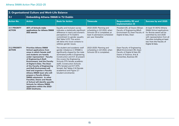| 3. Organisational Culture and Work-Life Balance |                                                                                                                                                                                                                                                                                                                                                                                                                                                                                                                                                                                                              |                                                                                                                                                                                                                                                                                                                                                                                                    |                                                                                                                                               |                                                                                                                                                      |                                                                                                                                                                                                                         |  |  |  |
|-------------------------------------------------|--------------------------------------------------------------------------------------------------------------------------------------------------------------------------------------------------------------------------------------------------------------------------------------------------------------------------------------------------------------------------------------------------------------------------------------------------------------------------------------------------------------------------------------------------------------------------------------------------------------|----------------------------------------------------------------------------------------------------------------------------------------------------------------------------------------------------------------------------------------------------------------------------------------------------------------------------------------------------------------------------------------------------|-----------------------------------------------------------------------------------------------------------------------------------------------|------------------------------------------------------------------------------------------------------------------------------------------------------|-------------------------------------------------------------------------------------------------------------------------------------------------------------------------------------------------------------------------|--|--|--|
| 3.1                                             | <b>Embedding Athena SWAN in TU Dublin</b>                                                                                                                                                                                                                                                                                                                                                                                                                                                                                                                                                                    |                                                                                                                                                                                                                                                                                                                                                                                                    |                                                                                                                                               |                                                                                                                                                      |                                                                                                                                                                                                                         |  |  |  |
| <b>Action No.</b>                               | <b>Action</b>                                                                                                                                                                                                                                                                                                                                                                                                                                                                                                                                                                                                | <b>Basis for Action</b>                                                                                                                                                                                                                                                                                                                                                                            | <b>Timescale</b>                                                                                                                              | <b>Responsibility (R) and</b><br><b>Implementation (I)</b>                                                                                           | Success by end 2025                                                                                                                                                                                                     |  |  |  |
| <b>3.1.1 PRIORITY</b><br><b>ACTION</b>          | 40% of Schools make<br>applications for Athena SWAN<br>(AS) awards                                                                                                                                                                                                                                                                                                                                                                                                                                                                                                                                           | Equality and Inclusion survey<br>indicates a statistically significant<br>difference in men's and women's<br>perceptions of TU Dublin's<br>commitment to gender equality<br>(Ref Table 5.37). This action<br>will delve into local contexts to<br>address gender issues.                                                                                                                           | 2022-2025: Planning and<br>scheduling in Q3 2022, when<br>Schools OD is completed; at<br>least 4 submissions scheduled<br>per year thereafter | President [R), all Deans (I) Dean<br>Faculty of Engineering &Built<br>Environment (I), Dean Faculty of<br>Digital & Data, Dean                       | At least 10 (40%) Athena<br>SWAN School applications<br>for Bronze award will be<br>submitted by end 2025<br>with representation from all<br>Faculties including at least<br>two from the Faculty of<br>Digital & Data. |  |  |  |
| <b>3.1.2 PRIORITY</b><br><b>ACTION</b>          | <b>Prioritise Athena SWAN</b><br><b>School applications from</b><br>areas in which female staff<br>and students are heavily<br>under-represented - Faculty<br>of Engineering & Built<br><b>Environment, and the Faculty</b><br>of Digital & Data. The Dean<br>of the Faculty of Engineering<br>and Built Environment will<br>lead and organise a Faculty<br>Athena SWAN team who will<br>prepare a Faculty Athena<br>SWAN submission. In other<br><b>Faculties, Deans and Heads</b><br>of School will identify specific<br><b>Schools for Athena SWAN</b><br>application within the 2022-<br>2025 timeframe. | The student and academic staff<br>gender imbalance in STEMM is<br>significantly shaped by the male<br>dominated profile in Engineering,<br>Construction and ICT. At present<br>this covers the Engineering<br>Schools (17% female academic<br>staff), Construction Schools<br>(27% female) and ICT (37%)<br>female). Ref Tables 2.14 (female<br>academics) and Figure 2.7<br>(student enrolments). | 2022-2025: Planning and<br>scheduling in Q3 2022, when<br>Schools OD is completed.                                                            | Dean Faculty of Engineering<br>&Built Environment (R), Dean<br>Faculty of Digital & Data (R)<br>Deans of Science, Arts &<br>Humanities, Business (R) |                                                                                                                                                                                                                         |  |  |  |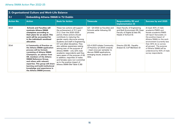| 3. Organisational Culture and Work-Life Balance |                                                                                                                                                                                                                                                                                                                                                                             |                                                                                                                                                                                                                                                                                                                                              |                                                                                                                                                                    |                                                                                                                          |                                                                                                                                                                                    |  |  |  |
|-------------------------------------------------|-----------------------------------------------------------------------------------------------------------------------------------------------------------------------------------------------------------------------------------------------------------------------------------------------------------------------------------------------------------------------------|----------------------------------------------------------------------------------------------------------------------------------------------------------------------------------------------------------------------------------------------------------------------------------------------------------------------------------------------|--------------------------------------------------------------------------------------------------------------------------------------------------------------------|--------------------------------------------------------------------------------------------------------------------------|------------------------------------------------------------------------------------------------------------------------------------------------------------------------------------|--|--|--|
| 3.1                                             |                                                                                                                                                                                                                                                                                                                                                                             | <b>Embedding Athena SWAN in TU Dublin</b>                                                                                                                                                                                                                                                                                                    |                                                                                                                                                                    |                                                                                                                          |                                                                                                                                                                                    |  |  |  |
| <b>Action No.</b>                               | <b>Action</b>                                                                                                                                                                                                                                                                                                                                                               | <b>Basis for Action</b>                                                                                                                                                                                                                                                                                                                      | <b>Timescale</b>                                                                                                                                                   | <b>Responsibility (R) and</b><br><b>Implementation (I)</b>                                                               | Success by end 2025                                                                                                                                                                |  |  |  |
| 3.1.3                                           | <b>Schools and Faculties will</b><br>nominate Athena SWAN<br>champions according to<br>their plans for an award. This<br>work will be accounted for<br>in the individual's workload<br>allocation.                                                                                                                                                                          | These two actions will support<br>the achievement of 3.1.1 and<br>3.1.2. Over the 2020-2025<br>period, these actions should<br>contribute to maturing the<br>gender equity discourse among<br>students and staff in Engineering,                                                                                                             | Q3 - Q4 2022 as Faculties and<br>Schools settle following OD<br>process.                                                                                           | Dean Faculty of Engineering<br>and Built Environment (R), Dean<br>Faculty of Digital & Data (R),<br>Heads of School (I). | At least 40% of male<br>academic/PMSS and<br>female academic/PMSS<br>will report favourably on<br>the positive impact of<br>Athena SWAN on the work<br>environment (currently less |  |  |  |
| 3.1.4                                           | A Community of Practice on<br>the Athena SWAN application<br>process will be formed,<br>consisting of Athena SWAN<br>Champions, an advisor from<br>HR, members of the Athena<br><b>SWAN Reference Group,</b><br>and others with relevant<br>expertise. This group will share<br>learning and build institutional<br>knowledge and experience in<br>the Athena SWAN process. | ICT and allied disciplines. They<br>also address awareness-raising<br>among men of the purpose of<br>Athena SWAN - only 22% male<br>academic respondents said they<br>were aware of the purpose of AS.<br>In addition, majorities of males<br>and females were non-committal<br>as to the positive impact of<br>Athena SWAN (Ref Table 5.38) | Q3-4 2023 initiate Community<br>of Practice; Q1 2004 onwards<br>- meet once per semester to<br>discuss SWAN applications,<br>emerging issues, analysis of<br>data. | Director EDI (R), Equality<br>Analyst (I), CoP Members (I)                                                               | than 40% do so across<br>all groups). The purpose<br>of Athena SWAN will be<br>understood by 50% of male<br>survey respondents                                                     |  |  |  |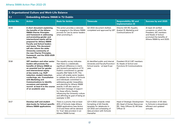| 3. Organisational Culture and Work-Life Balance |                                                                                                                                                                                                                                                                                                                                                                                                                                     |                                                                                                                                                                                                                                                                                                                                                                                                                                                                                                                                                                                    |                                                                                                                                                                |                                                                                                                 |                                                                                                                                                         |  |  |  |
|-------------------------------------------------|-------------------------------------------------------------------------------------------------------------------------------------------------------------------------------------------------------------------------------------------------------------------------------------------------------------------------------------------------------------------------------------------------------------------------------------|------------------------------------------------------------------------------------------------------------------------------------------------------------------------------------------------------------------------------------------------------------------------------------------------------------------------------------------------------------------------------------------------------------------------------------------------------------------------------------------------------------------------------------------------------------------------------------|----------------------------------------------------------------------------------------------------------------------------------------------------------------|-----------------------------------------------------------------------------------------------------------------|---------------------------------------------------------------------------------------------------------------------------------------------------------|--|--|--|
| 3.1                                             | <b>Embedding Athena SWAN in TU Dublin</b>                                                                                                                                                                                                                                                                                                                                                                                           |                                                                                                                                                                                                                                                                                                                                                                                                                                                                                                                                                                                    |                                                                                                                                                                |                                                                                                                 |                                                                                                                                                         |  |  |  |
| <b>Action No.</b>                               | <b>Action</b>                                                                                                                                                                                                                                                                                                                                                                                                                       | <b>Basis for Action</b>                                                                                                                                                                                                                                                                                                                                                                                                                                                                                                                                                            | <b>Timescale</b>                                                                                                                                               | <b>Responsibility (R) and</b><br><b>Implementation (I)</b>                                                      | Success by end 2025                                                                                                                                     |  |  |  |
| 3.1.5                                           | A short document explaining<br>the benefits of the Athena<br><b>SWAN Charter Principles</b><br>and framework in addressing<br>and promoting gender and<br>intersectional equity will be<br>prepared for Athena SWAN<br><b>Faculty and School leaders</b><br>and teams. This document<br>will also inform the wider<br>University community of<br>the new Charter Principles,<br>framework, and the 2022-2025<br><b>Action Plan.</b> | This action provides a rationale<br>for engaging in the Athena SWAN<br>process for use by senior leaders<br>when promoting it.                                                                                                                                                                                                                                                                                                                                                                                                                                                     | Q2 2022 document drafted,<br>completed and approved by UET                                                                                                     | Director EDI (R), Equality<br>Analyst (I), Marketing and<br>Communications (I)                                  | At least 24 verified<br>occasions on which the<br>President, UET members<br>and Heads of School<br>promoted the benefits of<br>Athena SWAN by end 2025. |  |  |  |
| 3.1.6                                           | UET members and other senior<br>leaders will promote the<br>benefits of Athena SWAN as<br>an essential tool for gender<br>and intersectional equity<br>at key events, e.g. Staff<br>induction, student induction,<br>conferrings, etc. Consultation<br>with Marketing and<br><b>Communications to identify</b><br>occasions and maintain<br>record- at least 6 in the course<br>of an academic year.                                | The equality survey indicates<br>that there is a statistically<br>significant difference in men's<br>and women's perceptions of TU<br>Dublin's commitment to gender<br>equality (Ref Table 5.37). This<br>action will enable senior leaders<br>to validate the efforts of Schools<br>and individuals committed to<br>addressing gender inequalities,<br>and planning for Athena SWAN<br>awards. It will also send an<br>important message of support<br>for these efforts, thereby<br>influencing the University culture<br>and affirming its goal of being an<br>exemplar in EDI. | At identified public and internal<br>University and Faculty/Function/<br>School events - at least 6 per<br>year,                                               | President (R & I) UET members<br>(I). Heads of School and<br>Functions (I) Communications<br>(1)                |                                                                                                                                                         |  |  |  |
| 3.1.7                                           | Develop staff and student<br>data books for School-specific<br>Athena SWAN applications.                                                                                                                                                                                                                                                                                                                                            | There is a priority that at least<br>40% of Schools make Athena<br>SWAN applications (see Action<br>3.1.1) and there will be demand<br>for 'true' data provision in an<br>Athena SWAN format.                                                                                                                                                                                                                                                                                                                                                                                      | Q3-4 2022 onwards: initial<br>formatting of AS-friendly<br>template for databooks in<br>Q3 2022 and scheduling of<br>data provision with Schools<br>thereafter | Head of Strategic Development<br>[R); Head of Human Resources<br>[R); Data Officers (I); HR Data<br>Officer (I) | The provision of AS data<br>to Schools is streamlined,<br>efficient and updated<br>annually                                                             |  |  |  |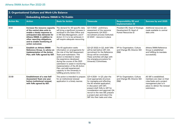| 3. Organisational Culture and Work-Life Balance |                                                                                                                                                                                                                                                |                                                                                                                                                                                                                                                                                                                                                                                                       |                                                                                                                                                                                                                                                                                                                             |                                                                                     |                                                                                                                                                           |  |  |
|-------------------------------------------------|------------------------------------------------------------------------------------------------------------------------------------------------------------------------------------------------------------------------------------------------|-------------------------------------------------------------------------------------------------------------------------------------------------------------------------------------------------------------------------------------------------------------------------------------------------------------------------------------------------------------------------------------------------------|-----------------------------------------------------------------------------------------------------------------------------------------------------------------------------------------------------------------------------------------------------------------------------------------------------------------------------|-------------------------------------------------------------------------------------|-----------------------------------------------------------------------------------------------------------------------------------------------------------|--|--|
| 3.1                                             | <b>Embedding Athena SWAN in TU Dublin</b>                                                                                                                                                                                                      |                                                                                                                                                                                                                                                                                                                                                                                                       |                                                                                                                                                                                                                                                                                                                             |                                                                                     |                                                                                                                                                           |  |  |
| <b>Action No.</b>                               | <b>Action</b>                                                                                                                                                                                                                                  | <b>Basis for Action</b>                                                                                                                                                                                                                                                                                                                                                                               | <b>Timescale</b>                                                                                                                                                                                                                                                                                                            | <b>Responsibility (R) and</b><br>Implementation (I)                                 | Success by end 2025                                                                                                                                       |  |  |
| 3.1.8                                           | Increase the resource capacity<br>of the central data units to<br>enable a timely response to<br>anticipated data demands for<br>Athena SWAN, in addition to<br>other reporting obligations,<br>and to enable monitoring of<br>action outcomes | The demand for AS-specific data<br>will bring a significant increase in<br>workload in the Data Office and<br>in HR Data Management, and if<br>Action 3.1.1 is to be achieved, it<br>will require adequate resourcing.                                                                                                                                                                                | Q2-3 2022 - preliminary<br>assessment of the resource<br>requirements; Q4 2022 -<br>recruitment process instituted;<br>Q1 2023 - resource in place                                                                                                                                                                          | President (R), Head of Strategic<br>Development (I), Head of<br>Human Resources (I) | Additional resources are<br>made available to central<br>data units                                                                                       |  |  |
| 3.1.9                                           | <b>Establish an Athena SWAN</b><br>Reference Group, to advise on<br>implementation of the Action<br>Plan, with ToRs agreed by UET.                                                                                                             | The AS application seeks<br>information on arrangements for<br>the role of the Self Assessment<br>Team post-submission. This<br>action is intended to retain<br>the experience developed<br>during the course of the 2021<br>submission to assist in monitoring<br>implementation of the AS Action<br>Plan, and add experienced<br>capacity to the University in<br>fulfilling priority Action 3.1.1. | Q2-Q3 2022; In Q2, draft ToRs<br>will be laid before UET; Q3,<br>recruitment for the Reference<br>Group will be concluded.<br>These activities will align with<br>the emerging procedure for<br>University Committees.                                                                                                      | VP for Organisation, Culture<br>and Change (R), Director EDI<br>(R&I)               | Athena SWAN Reference<br>Group is established<br>and fulfilling its mandate<br>successfully.                                                              |  |  |
| 3.1.10                                          | <b>Establishment of a new Self</b><br><b>Assessment Team one year</b><br>before institutional renewal,<br>with ToRs agreed by UET.                                                                                                             | This action is intended to prepare<br>for an institutional renewal<br>application in a timely manner.                                                                                                                                                                                                                                                                                                 | Q3-4 2024 - In Q3, plan the<br>most appropriate structure<br>for managing and effecting<br>the AS renewal application,<br>in discussion with UET:<br>present draft ToRs to UET for<br>consideration and approval; Q4,<br>recruit to the new SAT, prepare<br>a project plan and induct the<br>SAT into their tasks and roles | VP for Organisation, Culture<br>and Change (R), Director EDI<br>(R&I)               | AS SAT is established.<br>members are clear on their<br>roles/tasks and a project<br>management plan is in<br>place to deliver the renewal<br>submission. |  |  |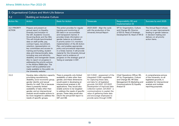| 3. Organisational Culture and Work-Life Balance |                                                                                                                                                                                                                                                                                                                                                                                                                                                                                                                                                                                                                                                                 |                                                                                                                                                                                                                                                                                                                                                                                                                                                                                                                        |                                                                                                                                                                                                                                                                                                                                                        |                                                                                                                                                                          |                                                                                                                                                                |  |  |
|-------------------------------------------------|-----------------------------------------------------------------------------------------------------------------------------------------------------------------------------------------------------------------------------------------------------------------------------------------------------------------------------------------------------------------------------------------------------------------------------------------------------------------------------------------------------------------------------------------------------------------------------------------------------------------------------------------------------------------|------------------------------------------------------------------------------------------------------------------------------------------------------------------------------------------------------------------------------------------------------------------------------------------------------------------------------------------------------------------------------------------------------------------------------------------------------------------------------------------------------------------------|--------------------------------------------------------------------------------------------------------------------------------------------------------------------------------------------------------------------------------------------------------------------------------------------------------------------------------------------------------|--------------------------------------------------------------------------------------------------------------------------------------------------------------------------|----------------------------------------------------------------------------------------------------------------------------------------------------------------|--|--|
| 3.2                                             | <b>Building an Inclusive Culture</b>                                                                                                                                                                                                                                                                                                                                                                                                                                                                                                                                                                                                                            |                                                                                                                                                                                                                                                                                                                                                                                                                                                                                                                        |                                                                                                                                                                                                                                                                                                                                                        |                                                                                                                                                                          |                                                                                                                                                                |  |  |
| Action No.                                      | <b>Action</b>                                                                                                                                                                                                                                                                                                                                                                                                                                                                                                                                                                                                                                                   | <b>Basis for Action</b>                                                                                                                                                                                                                                                                                                                                                                                                                                                                                                | <b>Timescale</b>                                                                                                                                                                                                                                                                                                                                       | Responsibility (R) and<br>Implementation (I)                                                                                                                             | Success by end 2025                                                                                                                                            |  |  |
| 3.2.1 PRIORITY<br><b>ACTION</b>                 | Prepare and present an<br>annual report on Equality,<br>Diversity and Inclusion to<br>the UET, Academic Council,<br>Governing Body and the HEA.<br>This will include benchmarked<br>data on staff profile, pay,<br>contract types, recruitment,<br>retention, representation on<br>key committees and access to<br>training and funding, student<br>data and intersectionality data,<br>including race and ethnicity,<br>disability, and transgender issues.<br>Also to report on progress in<br>addressing the priority actions<br>in the Athena SWAN plan. The<br>report will be published and<br>made available to the public via<br>the University website. | This action provides for regular<br>tracking and monitoring of<br>EDI data in an accountable<br>and transparent manner. It<br>provides timely information on<br>gender balance as indicated<br>in priority action 1.1.1, monitors<br>implementation of the AS Action<br>Plan, and enables appropriate<br>policy and procedural responses<br>in a timely manner. It will provide<br>material for the University Annual<br>Report and is evidence of<br>progress on the strategic goal of<br>'being an exemplar in EDI'. | 2023-2025 - Align the cycle<br>with the production of the<br><b>University Annual Report</b>                                                                                                                                                                                                                                                           | VP for Organisation, Culture<br>and Change (R), Director<br>of EDI (I), Head of Strategic<br>Development (I), Head of HR (I)                                             | The Annual Report shows<br>year-on-year improvements<br>leading to gender balance<br>in decision-making and<br>delivery on all priority<br>action items.       |  |  |
| 3.2.2                                           | Develop data collection capacity<br>prioritising race/ethnicity,<br>disability, socio-economic group,<br>gender identity and sexual<br>identity for staff. This is because<br>there is presently limited<br>availability of data other than<br>gender, and an intersectional<br>analysis would enable actions to<br>be more targeted to address the<br>needs of specific groups.                                                                                                                                                                                                                                                                                | There is presently only limited<br>availability of data other than<br>gender, and these dimensions<br>would assist in developing an<br>intersectional analysis in AS<br>applications. They would also<br>enable actions to be targeted<br>to address the needs of specific<br>groups. These data would also<br>inform the annual EDI report to<br>UET and GB.                                                                                                                                                          | Q2-3 2022 - assessment of the<br>integrated CORE capabilities<br>for capturing these data,<br>and data for all legislated<br>grounds; Q4 2022 - Q3 2023<br>Development of improved data<br>collection system. Q4 2023 - a<br>communications to explain the<br>value of gathering these data<br>and encourage employees to<br>provide same through CORE | Chief Operations Officer (R),<br>VP for Organisation, Culture<br>and Change (R), HR Data<br>Management (I); Marketing and<br>Communications (I); Equality<br>Analyst (I) | A comprehensive picture<br>of the University, on all<br>legislated grounds, is<br>available for intersectional<br>analysis and multiple<br>reporting purposes. |  |  |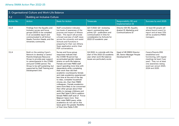| 3. Organisational Culture and Work-Life Balance |                                                                                                                                                                                                                                                                                         |                                                                                                                                                                                                                                                                                                                                                                                                                                                                                                                                                                                                                                                                                                                                                                                                                                    |                                                                                                                                                                            |                                                                                |                                                                                                                                                                                                |  |  |
|-------------------------------------------------|-----------------------------------------------------------------------------------------------------------------------------------------------------------------------------------------------------------------------------------------------------------------------------------------|------------------------------------------------------------------------------------------------------------------------------------------------------------------------------------------------------------------------------------------------------------------------------------------------------------------------------------------------------------------------------------------------------------------------------------------------------------------------------------------------------------------------------------------------------------------------------------------------------------------------------------------------------------------------------------------------------------------------------------------------------------------------------------------------------------------------------------|----------------------------------------------------------------------------------------------------------------------------------------------------------------------------|--------------------------------------------------------------------------------|------------------------------------------------------------------------------------------------------------------------------------------------------------------------------------------------|--|--|
| 3.2                                             | <b>Building an Inclusive Culture</b>                                                                                                                                                                                                                                                    |                                                                                                                                                                                                                                                                                                                                                                                                                                                                                                                                                                                                                                                                                                                                                                                                                                    |                                                                                                                                                                            |                                                                                |                                                                                                                                                                                                |  |  |
| Action No.                                      | Action                                                                                                                                                                                                                                                                                  | <b>Basis for Action</b>                                                                                                                                                                                                                                                                                                                                                                                                                                                                                                                                                                                                                                                                                                                                                                                                            | <b>Timescale</b>                                                                                                                                                           | Responsibility (R) and<br>Implementation (I)                                   | Success by end 2025                                                                                                                                                                            |  |  |
| 3.2.3                                           | Findings from the Equality and<br>Inclusion survey and focus<br>groups (2021) to be compiled<br>in an accessible report and<br>communicated to all School<br>Heads, Function Heads, and the<br>University community.                                                                    | Staff consultation indicates<br>low levels of awareness of the<br>purpose and impact of Athena<br>Swan. This report will provide<br>a broad overview of staff views<br>across the university and assist<br>Schools and Functions in<br>preparing for their own Athena<br>Swan application and/or their<br>PDP conversations.                                                                                                                                                                                                                                                                                                                                                                                                                                                                                                       | Q2-3 2022: Q2- reviewing<br>report, summarizing main<br>points; Q3 - publication and<br>communication in time for<br>consideration by Schools for<br>2022-23 academic year | Director EDI (R), Equality<br>Analyst (I), Marketing and<br>Communications (I) | At least 80 people will<br>attend launch event for<br>report and at least 33%<br>will be academic/PMSS<br>managers.                                                                            |  |  |
| 3.2.4                                           | Build on the existing Carer's<br>Network to develop a Carers/<br>Parents Employee Resource<br>Group to provide peer support<br>to carers/parents in the COVID<br>and post-COVID period. The<br>Group to be self-sustaining, but<br>supported by Staff Training and<br>Development Unit. | Survey and focus group<br>responses indicate that<br>the COVID-19 period has<br>accentuated gender-related<br>strains on work-life balance.<br>Female and male PMSS staff<br>report spending more time with<br>dependents while completing<br>their work than did their<br>academic counterparts; female<br>and male academics experienced<br>less time at the end of the day<br>to relax, complete household<br>chores, etc, than their PMSS<br>colleagues ; Female academics<br>were more likely to be concerned<br>than other groups about their<br>ability to manage childcare and<br>work (Ref Table 5.34) In addition<br>female PMSS staff avail of 'Force<br>Majeure' leave more than<br>their male PMSS peers, while<br>academics do not call on this<br>leave given the greater flexibility<br>of their time (Table 5.35) | Q4 2022, to coincide with the<br>start of the 2022-23 academic<br>year when work-life balance<br>issues are particularly acute                                             | Head of HR (R)EDI Director<br>(R), Senior Manager People<br>Development (I)    | Carers/Parents ERG<br>established and<br>functioning, with regular<br>meetings (at least 3 per<br>year). They run at least<br>one awareness raising<br>event per annum 2023,<br>2024 and 2025. |  |  |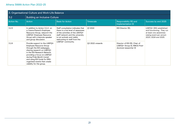| 3. Organisational Culture and Work-Life Balance |                                                                                                                                                                                                                                                                                                                 |                                                                                                                                                                                                              |                 |                                                                                            |                                                                                                                                   |  |  |
|-------------------------------------------------|-----------------------------------------------------------------------------------------------------------------------------------------------------------------------------------------------------------------------------------------------------------------------------------------------------------------|--------------------------------------------------------------------------------------------------------------------------------------------------------------------------------------------------------------|-----------------|--------------------------------------------------------------------------------------------|-----------------------------------------------------------------------------------------------------------------------------------|--|--|
| 3.2                                             | <b>Building an Inclusive Culture</b>                                                                                                                                                                                                                                                                            |                                                                                                                                                                                                              |                 |                                                                                            |                                                                                                                                   |  |  |
| Action No.                                      | Action                                                                                                                                                                                                                                                                                                          | <b>Basis for Action</b>                                                                                                                                                                                      | Timescale       | Responsibility (R) and<br>Implementation (I)                                               | Success by end 2025                                                                                                               |  |  |
| 3.2.5                                           | In addition to Action 3.2.4 on<br>a Carers/Parent's Employee<br>Resource Group, relaunch the<br>LGBTQI+ Employee Resource<br>Group with a keynote speaker<br>and group discussion.                                                                                                                              | Staff consultation indicates that<br>there is a low level of awareness<br>of the activities of the LBGTOI+<br>staff network and the university<br>is not actively and visibly<br>welcoming to staff from the | Q1 2022         | EDI Director (R).                                                                          | LGBTQI+ ERG established<br>and functioning. They run<br>at least one awareness<br>raising event per annum<br>2023, 2024 and 2025. |  |  |
| 3.2.6                                           | Provide support to the LGBTQI+<br>Employee Resource Group<br>through the EDI webpages,<br>sharing research on LGBTQI+<br>in the EDI Research Network,<br>providing a focus on LGBTQI+<br>during Pride Month (June)<br>and using EDI funds for ERG-<br>organised events that create<br>visibility for the group. | LGBTQI+ community.                                                                                                                                                                                           | Q2 2022 onwards | Director of EDI (R), Chair of<br>LGBTQI+ Group (I), RINCE Post-<br>doctoral researcher (I) |                                                                                                                                   |  |  |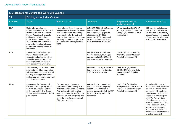| 3. Organisational Culture and Work-Life Balance |                                                                                                                                                                                                                                                                                                     |                                                                                                                                                                                                                                                                        |                                                                                                                                                                                                        |                                                                                                                   |                                                                                                                                                                                                                                                                                                                                                                                          |  |  |
|-------------------------------------------------|-----------------------------------------------------------------------------------------------------------------------------------------------------------------------------------------------------------------------------------------------------------------------------------------------------|------------------------------------------------------------------------------------------------------------------------------------------------------------------------------------------------------------------------------------------------------------------------|--------------------------------------------------------------------------------------------------------------------------------------------------------------------------------------------------------|-------------------------------------------------------------------------------------------------------------------|------------------------------------------------------------------------------------------------------------------------------------------------------------------------------------------------------------------------------------------------------------------------------------------------------------------------------------------------------------------------------------------|--|--|
| 3.2                                             | <b>Building an Inclusive Culture</b>                                                                                                                                                                                                                                                                |                                                                                                                                                                                                                                                                        |                                                                                                                                                                                                        |                                                                                                                   |                                                                                                                                                                                                                                                                                                                                                                                          |  |  |
| Action No.                                      | <b>Action</b>                                                                                                                                                                                                                                                                                       | <b>Basis for Action</b>                                                                                                                                                                                                                                                | <b>Timescale</b>                                                                                                                                                                                       | Responsibility (R) and<br>Implementation (I)                                                                      | Success by end 2025                                                                                                                                                                                                                                                                                                                                                                      |  |  |
| 3.2.7                                           | Undertake a project on<br>integrating gender equality and<br>sustainability into a common<br>Impact Assessment template<br>and guidance for inclusion<br>in the 'Policy Development<br>at TU Dublin' framework and<br>application to all policies and<br>procedures developed in the<br>University. | Integration of these important<br>analytical perspectives will assist<br>with the structural embedding<br>of inclusivity into the University<br>culture. It will holistically address<br>the People and Planet pillars of<br>the University's Strategic Intent<br>2030 | Q3 2022-Q1 2023: Q3 scope,<br>plan and begin project;<br>Q4 complete, engage with<br>stakeholders; Q1 2023-<br>present to UET for approval<br>as an amendment to 'Policy<br>Development at TU Dublin'. | VP for Sustainability (R), VP<br>for Organisation, Culture and<br>Change (R), Director EDI (R),<br>researcher (I) | All University policies and<br>procedures complete an<br>Equality and Sustainability<br>Impact Assessment as part<br>of the Policy Development<br>at TU Dublin Framework.                                                                                                                                                                                                                |  |  |
| 3.2.8                                           | An Equality and Sustainability<br>Impact Assessment (ESIA)<br>template and guidance will be<br>available, along with training<br>in its application, to policy-<br>developers in the University.                                                                                                    |                                                                                                                                                                                                                                                                        | Q2 2002 draft submitted to<br>UET for approval, training in<br>application in Q3 2022 and<br>once per semester thereafter                                                                              | Director of EDI (R), Equality<br>Analyst (I), Senior Manager<br>People Development (I)                            |                                                                                                                                                                                                                                                                                                                                                                                          |  |  |
| 3.2.9                                           | A Community of Practice on the<br>application of ESIAs to policies<br>will be created, to foster shared<br>learning among policy-holders<br>and embed an equality approach<br>to policy development.                                                                                                |                                                                                                                                                                                                                                                                        | Q2 2023, following a period of<br>learning to implement Action<br>5.29 by policy-holders                                                                                                               | Head of HR (R), Director<br>EDI (R), HR Policy and Data<br>Management (I), Equality<br>Analyst (I)                |                                                                                                                                                                                                                                                                                                                                                                                          |  |  |
| 3.2.10                                          | A review of the Dignity and<br>Respect at Work policy will be<br>undertaken, with integration<br>of the relevant Ending Sexual<br>Violence and Harassment (ESVH)<br>plan actions.                                                                                                                   | Focus group and separate<br>implementation of Ending Sexual<br>Violence and Harassment Action<br>Plan indicated that there is a<br>need to update the staff Dignity<br>and Respect at Work policy and<br>procedures to take account of<br>ESVH plan actions            | O4 2023, unless mandated<br>earlier, to review the policy<br>in light of the ESVH plan<br>requirements, with draft to UET<br>by end Q1 2024, and to GB<br>thereafter                                   | Head of HR (R), Head of<br>Workplace Relations (I), ESVH<br>Manager (I) Senior Manager<br>People Development (I)  | An updated Dignity and<br>Respect at Work policy and<br>procedures are in effect.<br>compliant with the Policy<br>Development at TU Dublin<br>Framework and integrate<br>an ESIA. At least 60%<br>of staff across all groups<br>male academic/PMSS and<br>female academic/PMSS<br>are aware of supports<br>and know how to report<br>instances of discrimination<br>or unfair treatment. |  |  |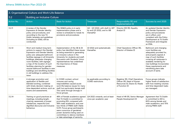| 3. Organisational Culture and Work-Life Balance |                                                                                                                                                                                                                                                                                                                                                                                                                                                  |                                                                                                                                                                                                                                                                                                                                           |                                                                            |                                                                                                                     |                                                                                                                                                                                                                                                                                             |  |
|-------------------------------------------------|--------------------------------------------------------------------------------------------------------------------------------------------------------------------------------------------------------------------------------------------------------------------------------------------------------------------------------------------------------------------------------------------------------------------------------------------------|-------------------------------------------------------------------------------------------------------------------------------------------------------------------------------------------------------------------------------------------------------------------------------------------------------------------------------------------|----------------------------------------------------------------------------|---------------------------------------------------------------------------------------------------------------------|---------------------------------------------------------------------------------------------------------------------------------------------------------------------------------------------------------------------------------------------------------------------------------------------|--|
| 3.2                                             | <b>Building an Inclusive Culture</b>                                                                                                                                                                                                                                                                                                                                                                                                             |                                                                                                                                                                                                                                                                                                                                           |                                                                            |                                                                                                                     |                                                                                                                                                                                                                                                                                             |  |
| <b>Action No.</b>                               | Action                                                                                                                                                                                                                                                                                                                                                                                                                                           | <b>Basis for Action</b>                                                                                                                                                                                                                                                                                                                   | <b>Timescale</b>                                                           | Responsibility (R) and<br>Implementation (I)                                                                        | Success by end 2025                                                                                                                                                                                                                                                                         |  |
| 3.2.11                                          | A review of the Gender<br>Expression & Gender Identity<br>policy and procedures, and<br>according to the new TU<br>Dublin template and guidelines<br>(including an ESIA), will be<br>conducted.                                                                                                                                                                                                                                                  | The GE&GI policy is in early<br>implementation phase and a<br>review is scheduled to tweak its<br>provisions and procedures                                                                                                                                                                                                               | Q2 - Q3 2022, with draft to UET<br>by end Q3 2022, and to GB<br>thereafter | Director EDI (R), Equality<br>Analyst (I)                                                                           | An updated Gender Identity<br>and Gender Expression<br>policy and procedures<br>are in effect, and<br>compliant with the Policy<br>Development at TU Dublin<br>Framework and integrate<br>an ESIA.                                                                                          |  |
| 3.2.12                                          | Short and medium-long term<br>actions to support the Gender<br><b>Expression and Gender Identity</b><br>policy are: adequate bathroom<br>facilities signage in all University<br>buildings; adequate changing<br>room facilities, with signage;<br>a map of the location of such<br>facilities; planning for gender-<br>neutral bathroom facilities in new<br>buildings and retrofitting facilities<br>in old buildings to address this<br>issue | Implementation of the GE & GI<br>policy has identified these issues<br>as being essential to generating<br>an inclusive culture in the<br>University for students and staff.<br>Discussion with Students' Union<br>representatives has underlined<br>the importance of these<br>measures.                                                 | Q1 2022 and systematically<br>thereafter.                                  | Chief Operations Officer (R),<br>Director of Estates (I)                                                            | Bathroom and changing<br>room facilities are<br>adequately provided for,<br>and properly signed; A<br>map of such facilities<br>covering all campuses is<br>available; tendering for<br>new buildings incorporates<br>these requirements and<br>retrofitting plans take<br>account of same. |  |
| 3.2.13                                          | A stronger promotion and<br>application of flexible and<br>blended working, combined<br>with timely decision-making on<br>time-dependent actions, such as<br>exams and assessments.                                                                                                                                                                                                                                                              | In COVID context, school<br>closures and caring<br>responsibilities caused acute<br>work-life balance issues for many<br>staff, but particularly female staff.<br>This came through strongly in<br>focus groups.                                                                                                                          | As applicable according to<br><b>COVID</b> restrictions                    | Registrar (R), Chief Operations<br>Officer (R), Head of Human<br>Resources (I), Deans (I), Heads<br>of Function (I) | Focus groups indicate<br>higher levels of satisfaction<br>with how meeting volumes<br>and time-dependent tasks<br>are managed.                                                                                                                                                              |  |
| 3.2.14                                          | Training on good practices at<br>meetings, including length,<br>chairing, awareness of power<br>imbalances, respectful and<br>dignified discourse and inclusive<br>behaviour.                                                                                                                                                                                                                                                                    | 48% of Female academics agreed<br>that TU Dublin is committed to<br>promoting EDI, compared with<br>56% male academics, and over<br>two-thirds of PMSS staff. (Table<br>5.37). Focus group participants<br>were conscious of gendered<br>power dynamics being used on<br>committees to silence members<br>or take advantage of seniority. | Q4 2022 onwards, and at least<br>once per academic year                    | Head of HR (R), Senior Manager<br>People Development (I)                                                            | Agreement that TU Dublin<br>is committed to EDI is<br>60% among female and<br>male academics, and 70%<br>among PMSS staff.                                                                                                                                                                  |  |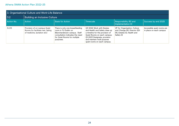| 3. Organisational Culture and Work-Life Balance |                                                                                                  |                                                                                                                                                                         |                                                                                                                                                                                                                           |                                                                                                            |                                                       |  |  |
|-------------------------------------------------|--------------------------------------------------------------------------------------------------|-------------------------------------------------------------------------------------------------------------------------------------------------------------------------|---------------------------------------------------------------------------------------------------------------------------------------------------------------------------------------------------------------------------|------------------------------------------------------------------------------------------------------------|-------------------------------------------------------|--|--|
| 3.2                                             | <b>Building an Inclusive Culture</b>                                                             |                                                                                                                                                                         |                                                                                                                                                                                                                           |                                                                                                            |                                                       |  |  |
| Action No.                                      | Action                                                                                           | <b>Basis for Action</b>                                                                                                                                                 | Timescale                                                                                                                                                                                                                 | Responsibility (R) and<br>Implementation (I)                                                               | Success by end 2025                                   |  |  |
| 3.2.15                                          | Provision of on-campus Quiet<br>Rooms (to facilitate rest, taking<br>of medicine, lactation etc) | There is only one breastfeeding<br>room in TU Dublin on<br>Blanchardstown campus. Staff<br>consultation indicates the need<br>for Quiet Rooms for multiple<br>purposes. | Q3 2022 Work with Estates<br>and Health and Safety draw up<br>a timeline for the provision of<br>Quiet Rooms on each campus;<br>Q1 2023 Designate, provision<br>and maintain multi purpose<br>quiet rooms on each campus. | VP for Organisation, Culture<br>and Change (R), Director EDI<br>(R), Estates (I), Health and<br>Safety (I) | Accessible quiet rooms are<br>in place on each campus |  |  |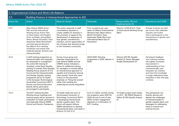| 3. Organisational Culture and Work-Life Balance |                                                                                                                                                                                                                                                                                                                                                                                                                                                                                                            |                                                                                                                                                                                                                                                                                                                                                                                                                         |                                                                                                                                                                                              |                                                                                                         |                                                                                                                                                                                                                                                                            |  |  |
|-------------------------------------------------|------------------------------------------------------------------------------------------------------------------------------------------------------------------------------------------------------------------------------------------------------------------------------------------------------------------------------------------------------------------------------------------------------------------------------------------------------------------------------------------------------------|-------------------------------------------------------------------------------------------------------------------------------------------------------------------------------------------------------------------------------------------------------------------------------------------------------------------------------------------------------------------------------------------------------------------------|----------------------------------------------------------------------------------------------------------------------------------------------------------------------------------------------|---------------------------------------------------------------------------------------------------------|----------------------------------------------------------------------------------------------------------------------------------------------------------------------------------------------------------------------------------------------------------------------------|--|--|
| 3.3                                             | Building Fluency in Intersectional Approaches to EDI                                                                                                                                                                                                                                                                                                                                                                                                                                                       |                                                                                                                                                                                                                                                                                                                                                                                                                         |                                                                                                                                                                                              |                                                                                                         |                                                                                                                                                                                                                                                                            |  |  |
| Action No.                                      | Action                                                                                                                                                                                                                                                                                                                                                                                                                                                                                                     | <b>Basis for Action</b>                                                                                                                                                                                                                                                                                                                                                                                                 | Timescale                                                                                                                                                                                    | Responsibility (R) and<br>Implementation (I)                                                            | Success by end 2025                                                                                                                                                                                                                                                        |  |  |
| 3.3.1                                           | Align Athena SWAN Action<br>Plan and the Intercultural<br>Working Group Action Plan<br>on Race Equity, and Student<br>Union activities, during Black<br>History Month (October), Trans<br>Awareness Week (November)<br>and International Women's<br>Day (March 8) to develop<br>workshops and events that<br>celebrate gender diversity and<br>intersectionality.                                                                                                                                          | This action responds to staff<br>consultations requests to<br>create visibility for diversity in<br>the university. it supports the<br>development of awareness of<br>how gender, race/ethnicity<br>intersect, and an appreciation of<br>the richness that diversity brings<br>to the University community.                                                                                                             | Four occasions per year -<br>week of 8 March (International<br>Women's Day), Black History<br>Month (October), Trans<br>Awareness Week (Nov) and<br>International Men's Day (11<br>November) | Director of EDI (R & I), Chair<br>of Intercultural Working Group<br>$(R&$ I)                            | At least 4 events are held<br>per annum that celebrate<br>diversity and further<br>inform participants on the<br>intersections of gender and<br>race/ethnicity.                                                                                                            |  |  |
| 3.3.2                                           | A staff training programme on<br>intersectionality and inequality<br>be developed to complement<br>the online EDI training (5<br>modules), online Race Equality<br>training (1 module), Race Equality<br>Reading Group sessions (5 x1.5<br>hours) and the Intersectionality<br>and Gender Equality training<br>programme led by TU Dublin<br>in the European Technological<br>Universities Consortium (EUT+).<br>Faculty and School Executive<br>Boards will be particularly<br>encouraged to participate. | Survey, focus group and<br>interview respondents for<br>both Athena SWAN and the<br>CINNTE review indicated a<br>desire for additional training<br>for managers to include taking<br>an intersectional approach to<br>equality and inclusivity (among<br>other issues). Some also were<br>critical on the perceived<br>emphasis on 'fixing the women'<br>rather than tackling the<br>underlying structural inequalities | 2024-2025: Planning<br>programme in 2025, delivery in<br>2025                                                                                                                                | Director EDI (R), Equality<br>Analyst (I), Senior Manager<br>People Development (I)                     | Participant feedback<br>from training modules<br>will register increased<br>improvement in<br>understanding of how<br>intersectionality and<br>inequality are created,<br>and have the knowledge<br>to begin addressing these<br>inequities in their everyday<br>contexts. |  |  |
| 3.3.3                                           | The EUT+ Intersectionality<br>Working Group meetings and<br>training events will be opened to<br>interested TU Dublin participants,<br>and especially Athena SWAN<br>School and Faculty Champions.                                                                                                                                                                                                                                                                                                         | TU Dublin leads the work of<br>the European University of<br>Technology Consortium (EUT+)<br>in developing intersectional<br>gender equality plans. This<br>action will support Athena<br>SWAN submissions to develop<br>intersectional plans, and assist in<br>Actions 3.11 and 3.1.2.                                                                                                                                 | From Q 1 2022, monthly during<br>the academic years 2021-22,<br>2022-23 and to end of year<br>2023. Further engagement<br>depends on continuation of<br>EUT+ funding                         | TU Dublin project team leader<br>on EUT+ (R); RINCE Research<br>Fellow (I); EDI Equality Analyst<br>(1) | The participants can<br>fluently discuss and<br>debate the challenges<br>of intersectionality in<br>gender equality plans, and<br>strategies for addressing<br>these in internal and<br>external forums.                                                                   |  |  |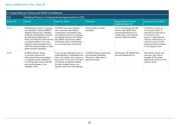| 3. Organisational Culture and Work-Life Balance |                                                                                                                                                                                                                                                                                                                                                             |                                                                                                                                                                                                                                                                              |                                                                                                             |                                                                                                                                                       |                                                                                                                                                                                                                                               |
|-------------------------------------------------|-------------------------------------------------------------------------------------------------------------------------------------------------------------------------------------------------------------------------------------------------------------------------------------------------------------------------------------------------------------|------------------------------------------------------------------------------------------------------------------------------------------------------------------------------------------------------------------------------------------------------------------------------|-------------------------------------------------------------------------------------------------------------|-------------------------------------------------------------------------------------------------------------------------------------------------------|-----------------------------------------------------------------------------------------------------------------------------------------------------------------------------------------------------------------------------------------------|
| 3.3                                             | Building Fluency in Intersectional Approaches to EDI                                                                                                                                                                                                                                                                                                        |                                                                                                                                                                                                                                                                              |                                                                                                             |                                                                                                                                                       |                                                                                                                                                                                                                                               |
| <b>Action No.</b>                               | Action                                                                                                                                                                                                                                                                                                                                                      | <b>Basis for Action</b>                                                                                                                                                                                                                                                      | <b>Timescale</b>                                                                                            | Responsibility (R) and<br>Implementation (I)                                                                                                          | Success by end 2025                                                                                                                                                                                                                           |
| 3.3.4                                           | AIB Research Centre in Inclusive<br>and Equitable Cultures (RINCE)<br>Flagship Spring event, 'Building<br>Inclusive and Equitable Cultures:<br>An Intersectoral Approach to<br>Policy and Practice' with external<br>corporate leaders in the area.<br>Flagship intersectionality event<br>with intersectoral leaders to take<br>place annually thereafter. | TU Dublin has close relations<br>with corporate and industry<br>organisations and leaders who<br>are seeking a forum for dialogue<br>on building cultures that embed<br>EDI. RINCE and sponsor, Allied<br>Irish Banks, have a commitment<br>to an annual event of this kind. | 22 April 2022, annually<br>thereafter                                                                       | VP for Partnerships [R), EDI<br>Director [R), RINCE Post-<br>doctoral Researcher (I) in<br>collaboration with external<br>sponsor, Allied Irish Bank. | TU Dublin is known as<br>the thought leader in<br>intersectoral discussions<br>on inclusivity and<br>equity in organisational<br>cultures, measured by an<br>overall increase of 20%<br>intersectoral participation<br>in this flagship event |
| 3.3.5                                           | A RINCE Seminar Series<br>to provide national and<br>international keynote speakers<br>on equality issues, followed by<br>a working paper series. Keynote<br>and working papers to be<br>available online                                                                                                                                                   | Focus groups indicated a lack of<br>understanding of inequalities and<br>their root causes, and a desire to<br>know more in this area. The input<br>of external recognised leaders,<br>through multiple means, can<br>support and enrich this learning                       | Q1 2022 (5 keynote lectures),<br>and annually thereafter.<br>Planning to take place in<br>previous quarter. | EDI Director (R), RINCE Post-<br>doctoral Researcher (I)                                                                                              | The seminar series runs<br>once per year and an<br>average of 30 people<br>attend each lecture in the<br>seminar series.                                                                                                                      |